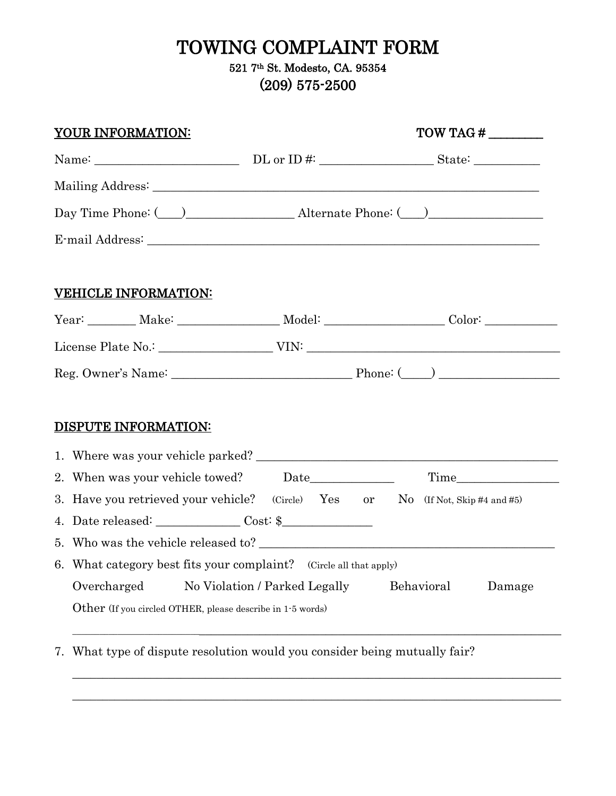## TOWING COMPLAINT FORM 521 7th St. Modesto, CA. 95354

## (209) 575-2500

| <b>YOUR INFORMATION:</b>                                                         |                                                                                                                                                                                                                                                                                                                                                                           |                                                                              |  |  |
|----------------------------------------------------------------------------------|---------------------------------------------------------------------------------------------------------------------------------------------------------------------------------------------------------------------------------------------------------------------------------------------------------------------------------------------------------------------------|------------------------------------------------------------------------------|--|--|
|                                                                                  |                                                                                                                                                                                                                                                                                                                                                                           |                                                                              |  |  |
|                                                                                  |                                                                                                                                                                                                                                                                                                                                                                           |                                                                              |  |  |
|                                                                                  |                                                                                                                                                                                                                                                                                                                                                                           |                                                                              |  |  |
|                                                                                  |                                                                                                                                                                                                                                                                                                                                                                           |                                                                              |  |  |
| <b>VEHICLE INFORMATION:</b>                                                      |                                                                                                                                                                                                                                                                                                                                                                           |                                                                              |  |  |
| Year: _______ Make: ______________ Model: ________________ Color: ______________ |                                                                                                                                                                                                                                                                                                                                                                           |                                                                              |  |  |
|                                                                                  |                                                                                                                                                                                                                                                                                                                                                                           |                                                                              |  |  |
|                                                                                  |                                                                                                                                                                                                                                                                                                                                                                           |                                                                              |  |  |
| <b>DISPUTE INFORMATION:</b>                                                      |                                                                                                                                                                                                                                                                                                                                                                           |                                                                              |  |  |
| 3.                                                                               |                                                                                                                                                                                                                                                                                                                                                                           | Have you retrieved your vehicle? (Circle) Yes or No (If Not, Skip #4 and #5) |  |  |
| 4.                                                                               | ${\it Date \, released:}\begin{tabular}{ l l } \hline \rule{0.2cm}{.04cm} \rule{0.2cm}{.04cm} \rule{0.2cm}{.04cm} \rule{0.2cm}{.04cm} \rule{0.2cm}{.04cm} \rule{0.2cm}{.04cm} \rule{0.2cm}{.04cm} \rule{0.2cm}{.04cm} \rule{0.2cm}{.04cm} \rule{0.2cm}{.04cm} \rule{0.2cm}{.04cm} \rule{0.2cm}{.04cm} \rule{0.2cm}{.04cm} \rule{0.2cm}{.04cm} \rule{0.2cm}{.04cm} \rule{$ |                                                                              |  |  |
| 5.                                                                               |                                                                                                                                                                                                                                                                                                                                                                           |                                                                              |  |  |
| 6. What category best fits your complaint? (Circle all that apply)               |                                                                                                                                                                                                                                                                                                                                                                           |                                                                              |  |  |
|                                                                                  | Overcharged No Violation / Parked Legally Behavioral                                                                                                                                                                                                                                                                                                                      | Damage                                                                       |  |  |
| Other (If you circled OTHER, please describe in 1.5 words)                       |                                                                                                                                                                                                                                                                                                                                                                           |                                                                              |  |  |
|                                                                                  |                                                                                                                                                                                                                                                                                                                                                                           |                                                                              |  |  |

7. What type of dispute resolution would you consider being mutually fair?

\_\_\_\_\_\_\_\_\_\_\_\_\_\_\_\_\_\_\_\_\_\_\_\_\_\_\_\_\_\_\_\_\_\_\_\_\_\_\_\_\_\_\_\_\_\_\_\_\_\_\_\_\_\_\_\_\_\_\_\_\_\_\_\_\_\_\_\_\_\_\_\_\_\_\_\_\_\_\_\_\_

\_\_\_\_\_\_\_\_\_\_\_\_\_\_\_\_\_\_\_\_\_\_\_\_\_\_\_\_\_\_\_\_\_\_\_\_\_\_\_\_\_\_\_\_\_\_\_\_\_\_\_\_\_\_\_\_\_\_\_\_\_\_\_\_\_\_\_\_\_\_\_\_\_\_\_\_\_\_\_\_\_